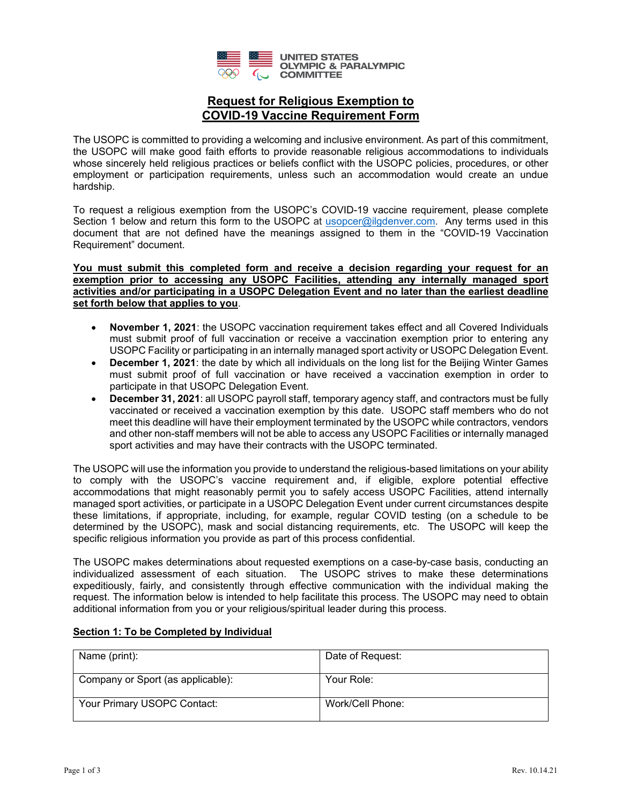

## **Request for Religious Exemption to COVID-19 Vaccine Requirement Form**

The USOPC is committed to providing a welcoming and inclusive environment. As part of this commitment, the USOPC will make good faith efforts to provide reasonable religious accommodations to individuals whose sincerely held religious practices or beliefs conflict with the USOPC policies, procedures, or other employment or participation requirements, unless such an accommodation would create an undue hardship.

To request a religious exemption from the USOPC's COVID-19 vaccine requirement, please complete Section 1 below and return this form to the USOPC at [usopcer@ilgdenver.com.](mailto:usopcer@ilgdenver.com) Any terms used in this document that are not defined have the meanings assigned to them in the "COVID-19 Vaccination Requirement" document.

**You must submit this completed form and receive a decision regarding your request for an exemption prior to accessing any USOPC Facilities, attending any internally managed sport activities and/or participating in a USOPC Delegation Event and no later than the earliest deadline set forth below that applies to you**.

- **November 1, 2021**: the USOPC vaccination requirement takes effect and all Covered Individuals must submit proof of full vaccination or receive a vaccination exemption prior to entering any USOPC Facility or participating in an internally managed sport activity or USOPC Delegation Event.
- **December 1, 2021**: the date by which all individuals on the long list for the Beijing Winter Games must submit proof of full vaccination or have received a vaccination exemption in order to participate in that USOPC Delegation Event.
- **December 31, 2021**: all USOPC payroll staff, temporary agency staff, and contractors must be fully vaccinated or received a vaccination exemption by this date. USOPC staff members who do not meet this deadline will have their employment terminated by the USOPC while contractors, vendors and other non-staff members will not be able to access any USOPC Facilities or internally managed sport activities and may have their contracts with the USOPC terminated.

The USOPC will use the information you provide to understand the religious-based limitations on your ability to comply with the USOPC's vaccine requirement and, if eligible, explore potential effective accommodations that might reasonably permit you to safely access USOPC Facilities, attend internally managed sport activities, or participate in a USOPC Delegation Event under current circumstances despite these limitations, if appropriate, including, for example, regular COVID testing (on a schedule to be determined by the USOPC), mask and social distancing requirements, etc. The USOPC will keep the specific religious information you provide as part of this process confidential.

The USOPC makes determinations about requested exemptions on a case-by-case basis, conducting an individualized assessment of each situation. The USOPC strives to make these determinations expeditiously, fairly, and consistently through effective communication with the individual making the request. The information below is intended to help facilitate this process. The USOPC may need to obtain additional information from you or your religious/spiritual leader during this process.

# Name (print): Name (print): Company or Sport (as applicable): Your Role: Your Primary USOPC Contact: Work/Cell Phone:

#### **Section 1: To be Completed by Individual**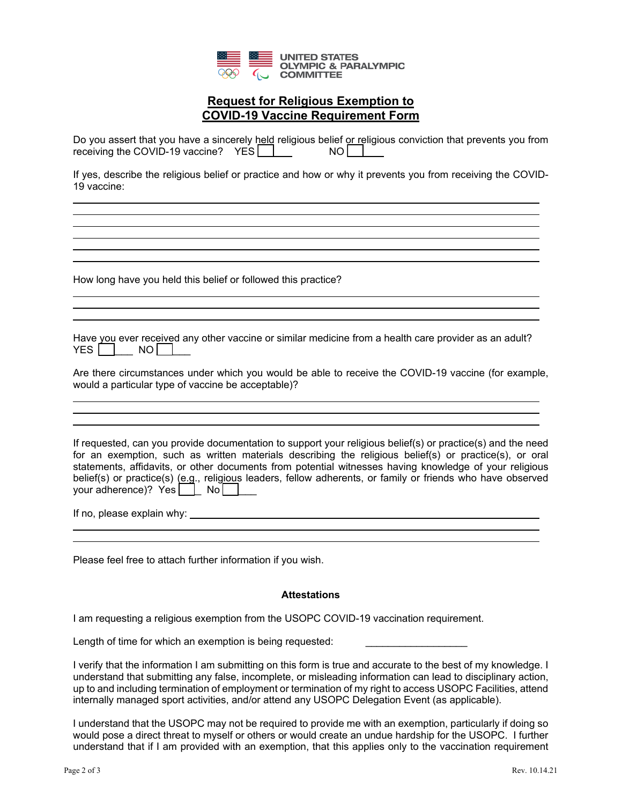

## **Request for Religious Exemption to COVID-19 Vaccine Requirement Form**

| Do you assert that you have a sincerely held religious belief or religious conviction that prevents you from |      |  |
|--------------------------------------------------------------------------------------------------------------|------|--|
| receiving the COVID-19 vaccine? $YES$                                                                        | NO I |  |

If yes, describe the religious belief or practice and how or why it prevents you from receiving the COVID-19 vaccine:

How long have you held this belief or followed this practice?

Have you ever received any other vaccine or similar medicine from a health care provider as an adult?  $YES$   $\Box$  NO  $\Box$ 

Are there circumstances under which you would be able to receive the COVID-19 vaccine (for example, would a particular type of vaccine be acceptable)?

If requested, can you provide documentation to support your religious belief(s) or practice(s) and the need for an exemption, such as written materials describing the religious belief(s) or practice(s), or oral statements, affidavits, or other documents from potential witnesses having knowledge of your religious belief(s) or practice(s) (e.g., religious leaders, fellow adherents, or family or friends who have observed your adherence)? Yes [ | No | |

If no, please explain why: <u>see all the set of the set of the set of the set of the set of the set of the set of the set of the set of the set of the set of the set of the set of the set of the set of the set of the set of</u>

 $\ddot{\phantom{a}}$ 

 $\ddot{\phantom{a}}$  $\ddot{\phantom{a}}$ 

l

Please feel free to attach further information if you wish.

#### **Attestations**

I am requesting a religious exemption from the USOPC COVID-19 vaccination requirement.

Length of time for which an exemption is being requested:

I verify that the information I am submitting on this form is true and accurate to the best of my knowledge. I understand that submitting any false, incomplete, or misleading information can lead to disciplinary action, up to and including termination of employment or termination of my right to access USOPC Facilities, attend internally managed sport activities, and/or attend any USOPC Delegation Event (as applicable).

I understand that the USOPC may not be required to provide me with an exemption, particularly if doing so would pose a direct threat to myself or others or would create an undue hardship for the USOPC. I further understand that if I am provided with an exemption, that this applies only to the vaccination requirement